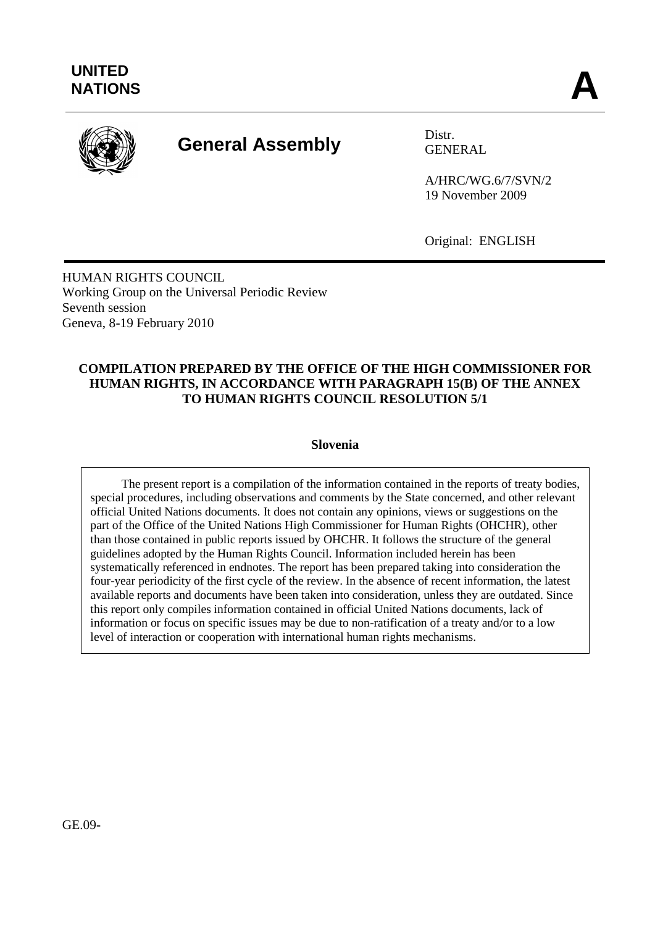

# **General Assembly** Distr.

GENERAL

A/HRC/WG.6/7/SVN/2 19 November 2009

Original: ENGLISH

HUMAN RIGHTS COUNCIL Working Group on the Universal Periodic Review Seventh session Geneva, 8-19 February 2010

# **COMPILATION PREPARED BY THE OFFICE OF THE HIGH COMMISSIONER FOR HUMAN RIGHTS, IN ACCORDANCE WITH PARAGRAPH 15(B) OF THE ANNEX TO HUMAN RIGHTS COUNCIL RESOLUTION 5/1**

**Slovenia**

The present report is a compilation of the information contained in the reports of treaty bodies, special procedures, including observations and comments by the State concerned, and other relevant official United Nations documents. It does not contain any opinions, views or suggestions on the part of the Office of the United Nations High Commissioner for Human Rights (OHCHR), other than those contained in public reports issued by OHCHR. It follows the structure of the general guidelines adopted by the Human Rights Council. Information included herein has been systematically referenced in endnotes. The report has been prepared taking into consideration the four-year periodicity of the first cycle of the review. In the absence of recent information, the latest available reports and documents have been taken into consideration, unless they are outdated. Since this report only compiles information contained in official United Nations documents, lack of information or focus on specific issues may be due to non-ratification of a treaty and/or to a low level of interaction or cooperation with international human rights mechanisms.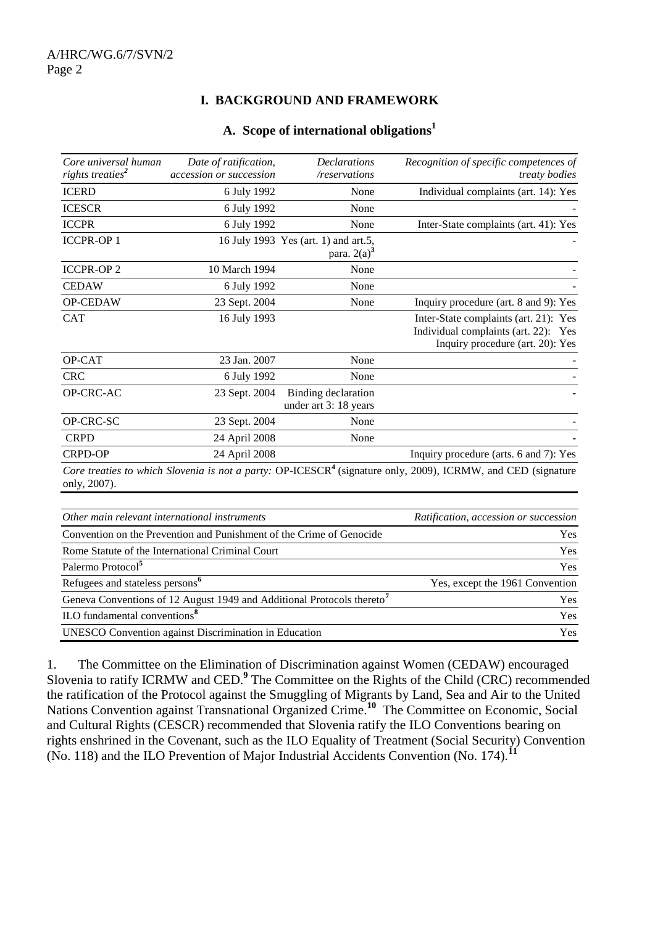# **I. BACKGROUND AND FRAMEWORK**

#### **A. Scope of international obligations<sup>1</sup>**

| Core universal human<br>rights treaties <sup>2</sup> | Date of ratification,<br>accession or succession | <b>Declarations</b><br>/reservations                   | Recognition of specific competences of<br><i>treaty bodies</i>                                                           |
|------------------------------------------------------|--------------------------------------------------|--------------------------------------------------------|--------------------------------------------------------------------------------------------------------------------------|
| <b>ICERD</b>                                         | 6 July 1992                                      | None                                                   | Individual complaints (art. 14): Yes                                                                                     |
| <b>ICESCR</b>                                        | 6 July 1992                                      | None                                                   |                                                                                                                          |
| <b>ICCPR</b>                                         | 6 July 1992                                      | None                                                   | Inter-State complaints (art. 41): Yes                                                                                    |
| <b>ICCPR-OP1</b>                                     |                                                  | 16 July 1993 Yes (art. 1) and art.5,<br>para. $2(a)^3$ |                                                                                                                          |
| <b>ICCPR-OP2</b>                                     | 10 March 1994                                    | None                                                   |                                                                                                                          |
| <b>CEDAW</b>                                         | 6 July 1992                                      | None                                                   |                                                                                                                          |
| OP-CEDAW                                             | 23 Sept. 2004                                    | None                                                   | Inquiry procedure (art. 8 and 9): Yes                                                                                    |
| <b>CAT</b>                                           | 16 July 1993                                     |                                                        | Inter-State complaints (art. 21): Yes<br>Individual complaints (art. 22): Yes<br>Inquiry procedure (art. 20): Yes        |
| OP-CAT                                               | 23 Jan. 2007                                     | None                                                   |                                                                                                                          |
| <b>CRC</b>                                           | 6 July 1992                                      | None                                                   |                                                                                                                          |
| OP-CRC-AC                                            | 23 Sept. 2004                                    | Binding declaration<br>under art 3: 18 years           |                                                                                                                          |
| OP-CRC-SC                                            | 23 Sept. 2004                                    | None                                                   |                                                                                                                          |
| <b>CRPD</b>                                          | 24 April 2008                                    | None                                                   |                                                                                                                          |
| <b>CRPD-OP</b>                                       | 24 April 2008                                    |                                                        | Inquiry procedure (arts. 6 and 7): Yes                                                                                   |
|                                                      |                                                  |                                                        | Core treaties to which Slovenia is not a party: OP-ICESCR <sup>4</sup> (signature only, 2009), ICRMW, and CED (signature |

*Core treaties to which Slovenia is not a party:* OP-ICESCR**<sup>4</sup>** (signature only, 2009), ICRMW, and CED (signature only, 2007).

| Other main relevant international instruments                                      | Ratification, accession or succession |  |
|------------------------------------------------------------------------------------|---------------------------------------|--|
| Convention on the Prevention and Punishment of the Crime of Genocide               | <b>Yes</b>                            |  |
| Rome Statute of the International Criminal Court                                   | <b>Yes</b>                            |  |
| Palermo Protocol <sup>5</sup>                                                      | Yes                                   |  |
| Refugees and stateless persons <sup>6</sup>                                        | Yes, except the 1961 Convention       |  |
| Geneva Conventions of 12 August 1949 and Additional Protocols thereto <sup>7</sup> | <b>Yes</b>                            |  |
| ILO fundamental conventions <sup>8</sup>                                           | Yes                                   |  |
| UNESCO Convention against Discrimination in Education                              | Yes                                   |  |

1. The Committee on the Elimination of Discrimination against Women (CEDAW) encouraged Slovenia to ratify ICRMW and CED.<sup>9</sup> The Committee on the Rights of the Child (CRC) recommended the ratification of the Protocol against the Smuggling of Migrants by Land, Sea and Air to the United Nations Convention against Transnational Organized Crime.<sup>10</sup> The Committee on Economic, Social and Cultural Rights (CESCR) recommended that Slovenia ratify the ILO Conventions bearing on rights enshrined in the Covenant, such as the ILO Equality of Treatment (Social Security) Convention (No. 118) and the ILO Prevention of Major Industrial Accidents Convention (No. 174).**<sup>11</sup>**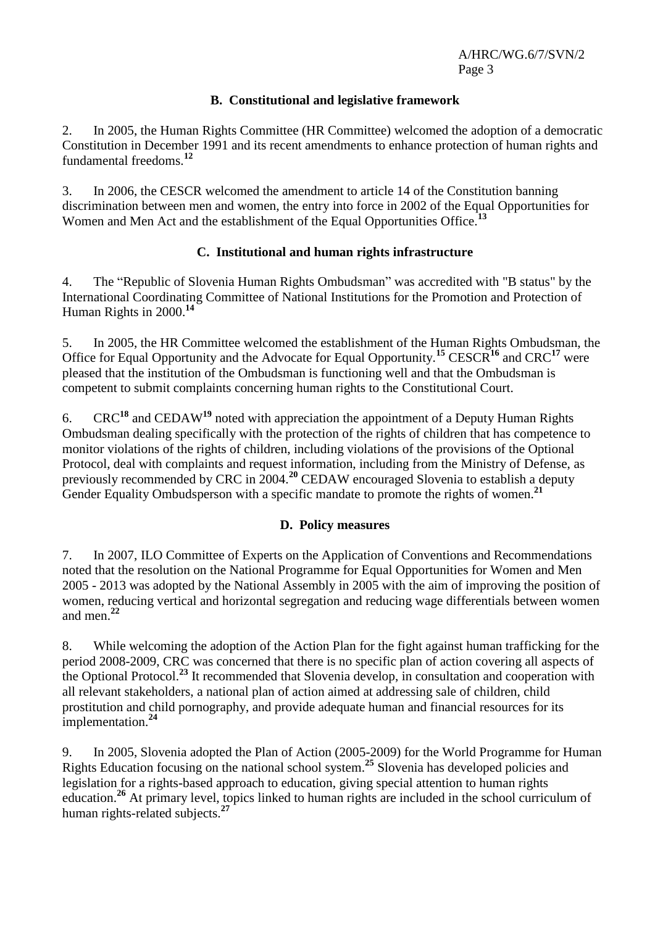# **B. Constitutional and legislative framework**

2. In 2005, the Human Rights Committee (HR Committee) welcomed the adoption of a democratic Constitution in December 1991 and its recent amendments to enhance protection of human rights and fundamental freedoms.**<sup>12</sup>**

3. In 2006, the CESCR welcomed the amendment to article 14 of the Constitution banning discrimination between men and women, the entry into force in 2002 of the Equal Opportunities for Women and Men Act and the establishment of the Equal Opportunities Office.**<sup>13</sup>**

# **C. Institutional and human rights infrastructure**

4. The "Republic of Slovenia Human Rights Ombudsman" was accredited with "B status" by the International Coordinating Committee of National Institutions for the Promotion and Protection of Human Rights in 2000. **14**

5. In 2005, the HR Committee welcomed the establishment of the Human Rights Ombudsman, the Office for Equal Opportunity and the Advocate for Equal Opportunity.**<sup>15</sup>** CESCR**<sup>16</sup>** and CRC**<sup>17</sup>** were pleased that the institution of the Ombudsman is functioning well and that the Ombudsman is competent to submit complaints concerning human rights to the Constitutional Court.

6. CRC**<sup>18</sup>** and CEDAW**<sup>19</sup>** noted with appreciation the appointment of a Deputy Human Rights Ombudsman dealing specifically with the protection of the rights of children that has competence to monitor violations of the rights of children, including violations of the provisions of the Optional Protocol, deal with complaints and request information, including from the Ministry of Defense, as previously recommended by CRC in 2004.**<sup>20</sup>** CEDAW encouraged Slovenia to establish a deputy Gender Equality Ombudsperson with a specific mandate to promote the rights of women.**<sup>21</sup>**

# **D. Policy measures**

7. In 2007, ILO Committee of Experts on the Application of Conventions and Recommendations noted that the resolution on the National Programme for Equal Opportunities for Women and Men 2005 - 2013 was adopted by the National Assembly in 2005 with the aim of improving the position of women, reducing vertical and horizontal segregation and reducing wage differentials between women and men. **22**

8. While welcoming the adoption of the Action Plan for the fight against human trafficking for the period 2008-2009, CRC was concerned that there is no specific plan of action covering all aspects of the Optional Protocol.**<sup>23</sup>** It recommended that Slovenia develop, in consultation and cooperation with all relevant stakeholders, a national plan of action aimed at addressing sale of children, child prostitution and child pornography, and provide adequate human and financial resources for its implementation.**<sup>24</sup>**

9. In 2005, Slovenia adopted the Plan of Action (2005-2009) for the World Programme for Human Rights Education focusing on the national school system. **<sup>25</sup>** Slovenia has developed policies and legislation for a rights-based approach to education, giving special attention to human rights education.**<sup>26</sup>** At primary level, topics linked to human rights are included in the school curriculum of human rights-related subjects.**<sup>27</sup>**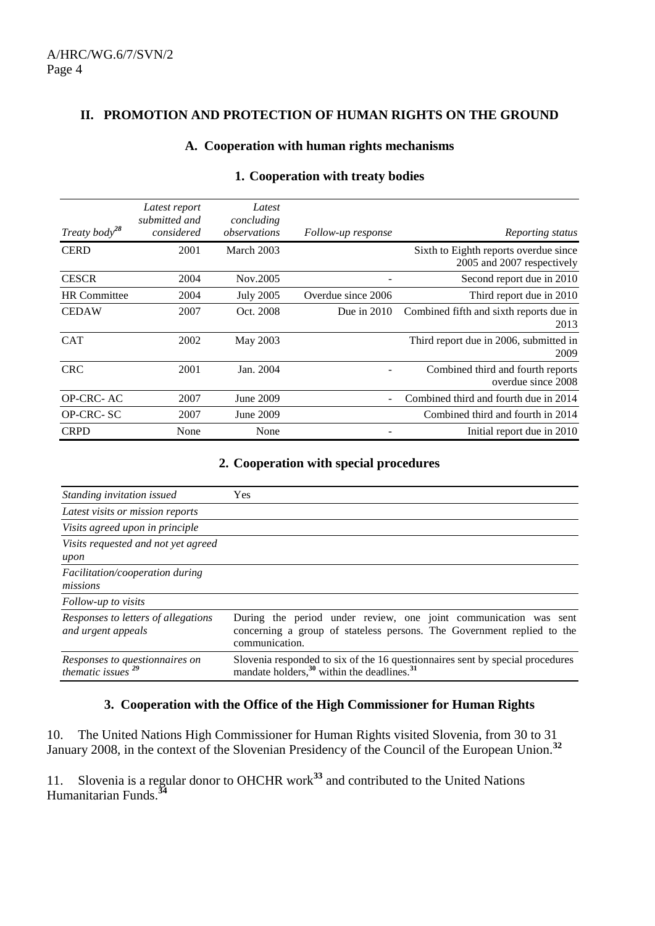#### **II. PROMOTION AND PROTECTION OF HUMAN RIGHTS ON THE GROUND**

#### **A. Cooperation with human rights mechanisms**

| Treaty body <sup>28</sup> | Latest report<br>submitted and<br>considered | Latest<br>concluding<br>observations | Follow-up response | Reporting status                                                    |
|---------------------------|----------------------------------------------|--------------------------------------|--------------------|---------------------------------------------------------------------|
| <b>CERD</b>               | 2001                                         | March 2003                           |                    | Sixth to Eighth reports overdue since<br>2005 and 2007 respectively |
| <b>CESCR</b>              | 2004                                         | Nov.2005                             |                    | Second report due in 2010                                           |
| <b>HR</b> Committee       | 2004                                         | <b>July 2005</b>                     | Overdue since 2006 | Third report due in 2010                                            |
| <b>CEDAW</b>              | 2007                                         | Oct. 2008                            | Due in $2010$      | Combined fifth and sixth reports due in<br>2013                     |
| <b>CAT</b>                | 2002                                         | May 2003                             |                    | Third report due in 2006, submitted in<br>2009                      |
| <b>CRC</b>                | 2001                                         | Jan. 2004                            |                    | Combined third and fourth reports<br>overdue since 2008             |
| OP-CRC-AC                 | 2007                                         | June 2009                            |                    | Combined third and fourth due in 2014                               |
| OP-CRC-SC                 | 2007                                         | June 2009                            |                    | Combined third and fourth in 2014                                   |
| <b>CRPD</b>               | None                                         | None                                 |                    | Initial report due in 2010                                          |

# **1. Cooperation with treaty bodies**

#### **2. Cooperation with special procedures**

| Standing invitation issued                                | <b>Yes</b>                                                                                                                                                   |  |
|-----------------------------------------------------------|--------------------------------------------------------------------------------------------------------------------------------------------------------------|--|
| Latest visits or mission reports                          |                                                                                                                                                              |  |
| Visits agreed upon in principle                           |                                                                                                                                                              |  |
| Visits requested and not yet agreed<br>upon               |                                                                                                                                                              |  |
| Facilitation/cooperation during<br>missions               |                                                                                                                                                              |  |
| Follow-up to visits                                       |                                                                                                                                                              |  |
| Responses to letters of allegations<br>and urgent appeals | During the period under review, one joint communication was sent<br>concerning a group of stateless persons. The Government replied to the<br>communication. |  |
| Responses to questionnaires on<br>thematic issues $^{29}$ | Slovenia responded to six of the 16 questionnaires sent by special procedures<br>mandate holders, <sup>30</sup> within the deadlines. <sup>31</sup>          |  |

#### **3. Cooperation with the Office of the High Commissioner for Human Rights**

10. The United Nations High Commissioner for Human Rights visited Slovenia, from 30 to 31 January 2008, in the context of the Slovenian Presidency of the Council of the European Union.**<sup>32</sup>**

11. Slovenia is a regular donor to OHCHR work**<sup>33</sup>** and contributed to the United Nations Humanitarian Funds.**<sup>34</sup>**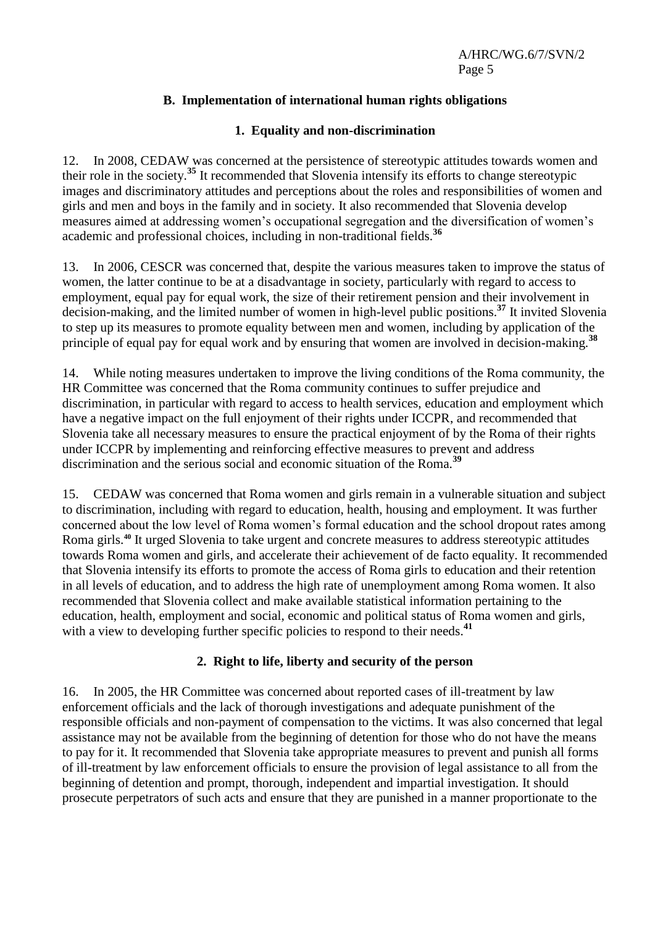# **B. Implementation of international human rights obligations**

# **1. Equality and non-discrimination**

12. In 2008, CEDAW was concerned at the persistence of stereotypic attitudes towards women and their role in the society.**<sup>35</sup>** It recommended that Slovenia intensify its efforts to change stereotypic images and discriminatory attitudes and perceptions about the roles and responsibilities of women and girls and men and boys in the family and in society. It also recommended that Slovenia develop measures aimed at addressing women's occupational segregation and the diversification of women's academic and professional choices, including in non-traditional fields.**<sup>36</sup>**

13. In 2006, CESCR was concerned that, despite the various measures taken to improve the status of women, the latter continue to be at a disadvantage in society, particularly with regard to access to employment, equal pay for equal work, the size of their retirement pension and their involvement in decision-making, and the limited number of women in high-level public positions.**<sup>37</sup>** It invited Slovenia to step up its measures to promote equality between men and women, including by application of the principle of equal pay for equal work and by ensuring that women are involved in decision-making.**<sup>38</sup>**

14. While noting measures undertaken to improve the living conditions of the Roma community, the HR Committee was concerned that the Roma community continues to suffer prejudice and discrimination, in particular with regard to access to health services, education and employment which have a negative impact on the full enjoyment of their rights under ICCPR, and recommended that Slovenia take all necessary measures to ensure the practical enjoyment of by the Roma of their rights under ICCPR by implementing and reinforcing effective measures to prevent and address discrimination and the serious social and economic situation of the Roma.**<sup>39</sup>**

15. CEDAW was concerned that Roma women and girls remain in a vulnerable situation and subject to discrimination, including with regard to education, health, housing and employment. It was further concerned about the low level of Roma women's formal education and the school dropout rates among Roma girls.**<sup>40</sup>** It urged Slovenia to take urgent and concrete measures to address stereotypic attitudes towards Roma women and girls, and accelerate their achievement of de facto equality. It recommended that Slovenia intensify its efforts to promote the access of Roma girls to education and their retention in all levels of education, and to address the high rate of unemployment among Roma women. It also recommended that Slovenia collect and make available statistical information pertaining to the education, health, employment and social, economic and political status of Roma women and girls, with a view to developing further specific policies to respond to their needs.<sup>41</sup>

# **2. Right to life, liberty and security of the person**

16. In 2005, the HR Committee was concerned about reported cases of ill-treatment by law enforcement officials and the lack of thorough investigations and adequate punishment of the responsible officials and non-payment of compensation to the victims. It was also concerned that legal assistance may not be available from the beginning of detention for those who do not have the means to pay for it. It recommended that Slovenia take appropriate measures to prevent and punish all forms of ill-treatment by law enforcement officials to ensure the provision of legal assistance to all from the beginning of detention and prompt, thorough, independent and impartial investigation. It should prosecute perpetrators of such acts and ensure that they are punished in a manner proportionate to the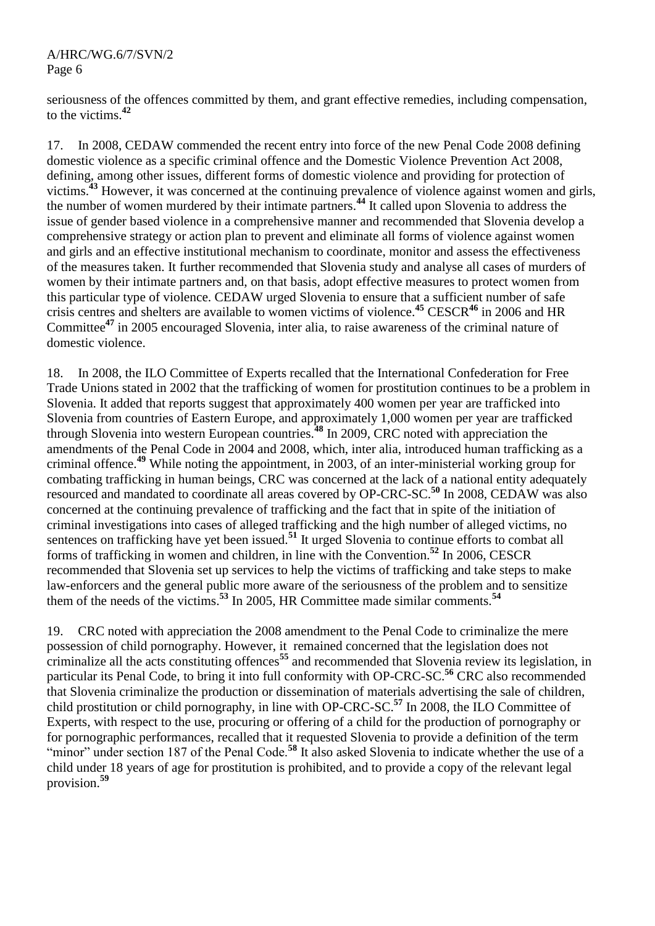seriousness of the offences committed by them, and grant effective remedies, including compensation, to the victims.**<sup>42</sup>** 

17. In 2008, CEDAW commended the recent entry into force of the new Penal Code 2008 defining domestic violence as a specific criminal offence and the Domestic Violence Prevention Act 2008, defining, among other issues, different forms of domestic violence and providing for protection of victims.<sup>43</sup> However, it was concerned at the continuing prevalence of violence against women and girls, the number of women murdered by their intimate partners.**<sup>44</sup>** It called upon Slovenia to address the issue of gender based violence in a comprehensive manner and recommended that Slovenia develop a comprehensive strategy or action plan to prevent and eliminate all forms of violence against women and girls and an effective institutional mechanism to coordinate, monitor and assess the effectiveness of the measures taken. It further recommended that Slovenia study and analyse all cases of murders of women by their intimate partners and, on that basis, adopt effective measures to protect women from this particular type of violence. CEDAW urged Slovenia to ensure that a sufficient number of safe crisis centres and shelters are available to women victims of violence. **<sup>45</sup>** CESCR**<sup>46</sup>** in 2006 and HR Committee**<sup>47</sup>** in 2005 encouraged Slovenia, inter alia, to raise awareness of the criminal nature of domestic violence.

18. In 2008, the ILO Committee of Experts recalled that the International Confederation for Free Trade Unions stated in 2002 that the trafficking of women for prostitution continues to be a problem in Slovenia. It added that reports suggest that approximately 400 women per year are trafficked into Slovenia from countries of Eastern Europe, and approximately 1,000 women per year are trafficked through Slovenia into western European countries.**<sup>48</sup>** In 2009, CRC noted with appreciation the amendments of the Penal Code in 2004 and 2008, which, inter alia, introduced human trafficking as a criminal offence.**<sup>49</sup>** While noting the appointment, in 2003, of an inter-ministerial working group for combating trafficking in human beings, CRC was concerned at the lack of a national entity adequately resourced and mandated to coordinate all areas covered by OP-CRC-SC. **<sup>50</sup>** In 2008, CEDAW was also concerned at the continuing prevalence of trafficking and the fact that in spite of the initiation of criminal investigations into cases of alleged trafficking and the high number of alleged victims, no sentences on trafficking have yet been issued.**<sup>51</sup>** It urged Slovenia to continue efforts to combat all forms of trafficking in women and children, in line with the Convention.**<sup>52</sup>** In 2006, CESCR recommended that Slovenia set up services to help the victims of trafficking and take steps to make law-enforcers and the general public more aware of the seriousness of the problem and to sensitize them of the needs of the victims.**<sup>53</sup>** In 2005, HR Committee made similar comments.**<sup>54</sup>**

19. CRC noted with appreciation the 2008 amendment to the Penal Code to criminalize the mere possession of child pornography. However, it remained concerned that the legislation does not criminalize all the acts constituting offences**<sup>55</sup>** and recommended that Slovenia review its legislation, in particular its Penal Code, to bring it into full conformity with OP-CRC-SC. **<sup>56</sup>** CRC also recommended that Slovenia criminalize the production or dissemination of materials advertising the sale of children, child prostitution or child pornography, in line with OP-CRC-SC. **<sup>57</sup>** In 2008, the ILO Committee of Experts, with respect to the use, procuring or offering of a child for the production of pornography or for pornographic performances, recalled that it requested Slovenia to provide a definition of the term "minor" under section 187 of the Penal Code.<sup>58</sup> It also asked Slovenia to indicate whether the use of a child under 18 years of age for prostitution is prohibited, and to provide a copy of the relevant legal provision.**<sup>59</sup>**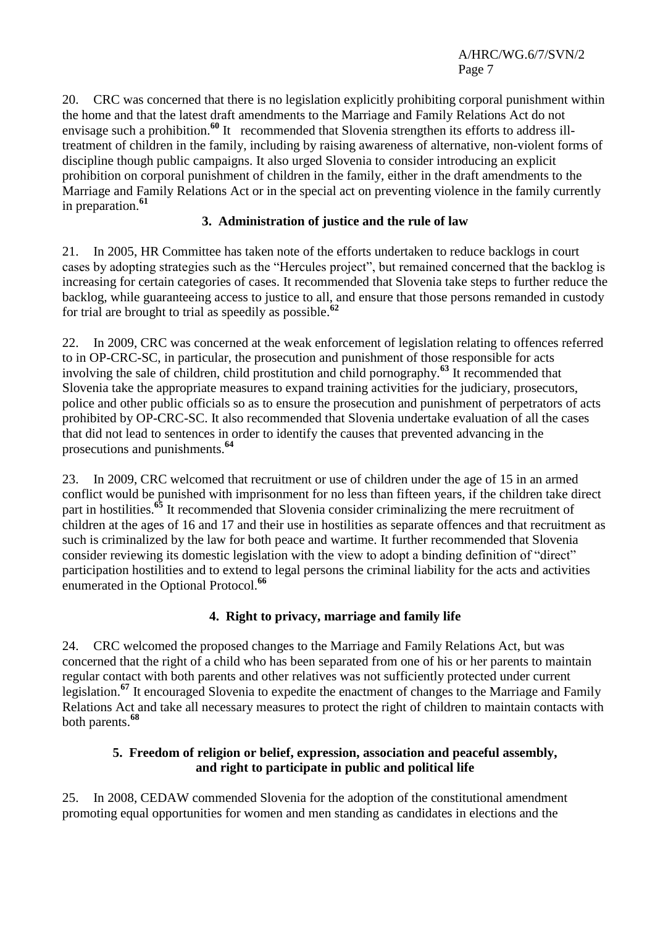20. CRC was concerned that there is no legislation explicitly prohibiting corporal punishment within the home and that the latest draft amendments to the Marriage and Family Relations Act do not envisage such a prohibition.<sup>60</sup> It recommended that Slovenia strengthen its efforts to address illtreatment of children in the family, including by raising awareness of alternative, non-violent forms of discipline though public campaigns. It also urged Slovenia to consider introducing an explicit prohibition on corporal punishment of children in the family, either in the draft amendments to the Marriage and Family Relations Act or in the special act on preventing violence in the family currently in preparation.**<sup>61</sup>**

# **3. Administration of justice and the rule of law**

21. In 2005, HR Committee has taken note of the efforts undertaken to reduce backlogs in court cases by adopting strategies such as the "Hercules project", but remained concerned that the backlog is increasing for certain categories of cases. It recommended that Slovenia take steps to further reduce the backlog, while guaranteeing access to justice to all, and ensure that those persons remanded in custody for trial are brought to trial as speedily as possible.**<sup>62</sup>**

22. In 2009, CRC was concerned at the weak enforcement of legislation relating to offences referred to in OP-CRC-SC, in particular, the prosecution and punishment of those responsible for acts involving the sale of children, child prostitution and child pornography.**<sup>63</sup>** It recommended that Slovenia take the appropriate measures to expand training activities for the judiciary, prosecutors, police and other public officials so as to ensure the prosecution and punishment of perpetrators of acts prohibited by OP-CRC-SC. It also recommended that Slovenia undertake evaluation of all the cases that did not lead to sentences in order to identify the causes that prevented advancing in the prosecutions and punishments.**<sup>64</sup>**

23. In 2009, CRC welcomed that recruitment or use of children under the age of 15 in an armed conflict would be punished with imprisonment for no less than fifteen years, if the children take direct part in hostilities.**<sup>65</sup>** It recommended that Slovenia consider criminalizing the mere recruitment of children at the ages of 16 and 17 and their use in hostilities as separate offences and that recruitment as such is criminalized by the law for both peace and wartime. It further recommended that Slovenia consider reviewing its domestic legislation with the view to adopt a binding definition of "direct" participation hostilities and to extend to legal persons the criminal liability for the acts and activities enumerated in the Optional Protocol.**<sup>66</sup>**

# **4. Right to privacy, marriage and family life**

24. CRC welcomed the proposed changes to the Marriage and Family Relations Act, but was concerned that the right of a child who has been separated from one of his or her parents to maintain regular contact with both parents and other relatives was not sufficiently protected under current legislation.**<sup>67</sup>** It encouraged Slovenia to expedite the enactment of changes to the Marriage and Family Relations Act and take all necessary measures to protect the right of children to maintain contacts with both parents.**<sup>68</sup>**

# **5. Freedom of religion or belief, expression, association and peaceful assembly, and right to participate in public and political life**

25. In 2008, CEDAW commended Slovenia for the adoption of the constitutional amendment promoting equal opportunities for women and men standing as candidates in elections and the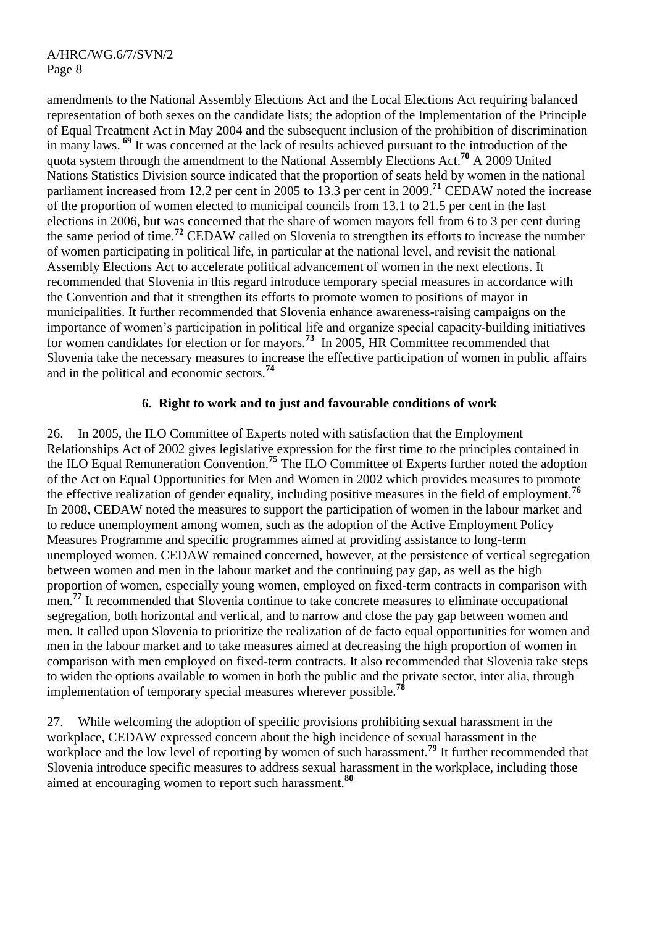amendments to the National Assembly Elections Act and the Local Elections Act requiring balanced representation of both sexes on the candidate lists; the adoption of the Implementation of the Principle of Equal Treatment Act in May 2004 and the subsequent inclusion of the prohibition of discrimination in many laws. **<sup>69</sup>** It was concerned at the lack of results achieved pursuant to the introduction of the quota system through the amendment to the National Assembly Elections Act. **<sup>70</sup>** A 2009 United Nations Statistics Division source indicated that the proportion of seats held by women in the national parliament increased from 12.2 per cent in 2005 to 13.3 per cent in 2009.**<sup>71</sup>** CEDAW noted the increase of the proportion of women elected to municipal councils from 13.1 to 21.5 per cent in the last elections in 2006, but was concerned that the share of women mayors fell from 6 to 3 per cent during the same period of time.**<sup>72</sup>** CEDAW called on Slovenia to strengthen its efforts to increase the number of women participating in political life, in particular at the national level, and revisit the national Assembly Elections Act to accelerate political advancement of women in the next elections. It recommended that Slovenia in this regard introduce temporary special measures in accordance with the Convention and that it strengthen its efforts to promote women to positions of mayor in municipalities. It further recommended that Slovenia enhance awareness-raising campaigns on the importance of women's participation in political life and organize special capacity-building initiatives for women candidates for election or for mayors.**<sup>73</sup>** In 2005, HR Committee recommended that Slovenia take the necessary measures to increase the effective participation of women in public affairs and in the political and economic sectors.**<sup>74</sup>**

# **6. Right to work and to just and favourable conditions of work**

26. In 2005, the ILO Committee of Experts noted with satisfaction that the Employment Relationships Act of 2002 gives legislative expression for the first time to the principles contained in the ILO Equal Remuneration Convention. **<sup>75</sup>** The ILO Committee of Experts further noted the adoption of the Act on Equal Opportunities for Men and Women in 2002 which provides measures to promote the effective realization of gender equality, including positive measures in the field of employment.**<sup>76</sup>** In 2008, CEDAW noted the measures to support the participation of women in the labour market and to reduce unemployment among women, such as the adoption of the Active Employment Policy Measures Programme and specific programmes aimed at providing assistance to long-term unemployed women. CEDAW remained concerned, however, at the persistence of vertical segregation between women and men in the labour market and the continuing pay gap, as well as the high proportion of women, especially young women, employed on fixed-term contracts in comparison with men.<sup>77</sup> It recommended that Slovenia continue to take concrete measures to eliminate occupational segregation, both horizontal and vertical, and to narrow and close the pay gap between women and men. It called upon Slovenia to prioritize the realization of de facto equal opportunities for women and men in the labour market and to take measures aimed at decreasing the high proportion of women in comparison with men employed on fixed-term contracts. It also recommended that Slovenia take steps to widen the options available to women in both the public and the private sector, inter alia, through implementation of temporary special measures wherever possible.<sup>7</sup>

27. While welcoming the adoption of specific provisions prohibiting sexual harassment in the workplace, CEDAW expressed concern about the high incidence of sexual harassment in the workplace and the low level of reporting by women of such harassment.<sup>79</sup> It further recommended that Slovenia introduce specific measures to address sexual harassment in the workplace, including those aimed at encouraging women to report such harassment.**<sup>80</sup>**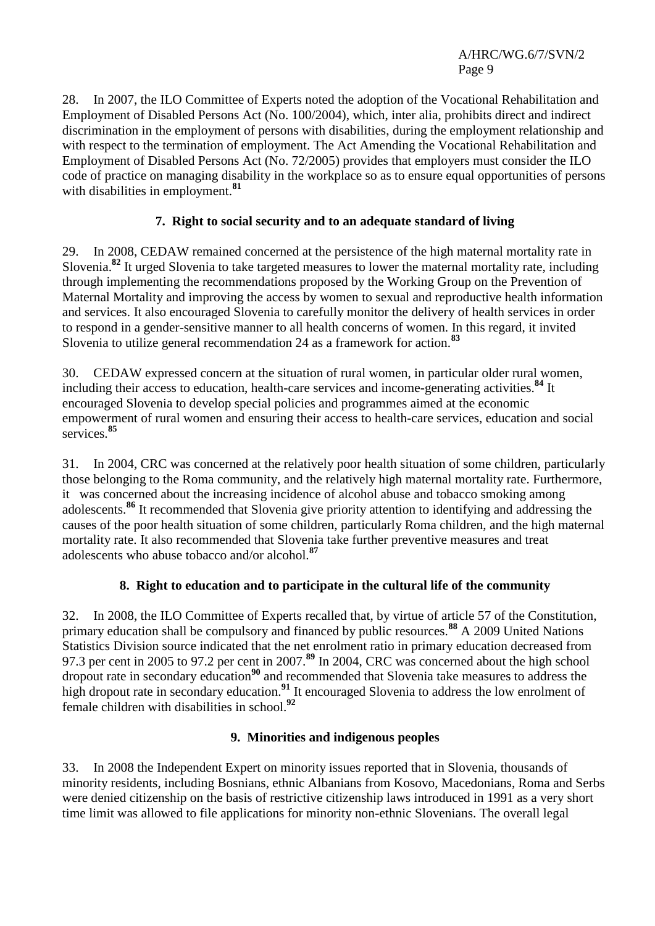28. In 2007, the ILO Committee of Experts noted the adoption of the Vocational Rehabilitation and Employment of Disabled Persons Act (No. 100/2004), which, inter alia, prohibits direct and indirect discrimination in the employment of persons with disabilities, during the employment relationship and with respect to the termination of employment. The Act Amending the Vocational Rehabilitation and Employment of Disabled Persons Act (No. 72/2005) provides that employers must consider the ILO code of practice on managing disability in the workplace so as to ensure equal opportunities of persons with disabilities in employment.**<sup>81</sup>**

# **7. Right to social security and to an adequate standard of living**

29. In 2008, CEDAW remained concerned at the persistence of the high maternal mortality rate in Slovenia. **<sup>82</sup>** It urged Slovenia to take targeted measures to lower the maternal mortality rate, including through implementing the recommendations proposed by the Working Group on the Prevention of Maternal Mortality and improving the access by women to sexual and reproductive health information and services. It also encouraged Slovenia to carefully monitor the delivery of health services in order to respond in a gender-sensitive manner to all health concerns of women. In this regard, it invited Slovenia to utilize general recommendation 24 as a framework for action.**<sup>83</sup>**

30. CEDAW expressed concern at the situation of rural women, in particular older rural women, including their access to education, health-care services and income-generating activities.**<sup>84</sup>** It encouraged Slovenia to develop special policies and programmes aimed at the economic empowerment of rural women and ensuring their access to health-care services, education and social services.**<sup>85</sup>**

31. In 2004, CRC was concerned at the relatively poor health situation of some children, particularly those belonging to the Roma community, and the relatively high maternal mortality rate. Furthermore, it was concerned about the increasing incidence of alcohol abuse and tobacco smoking among adolescents.**<sup>86</sup>** It recommended that Slovenia give priority attention to identifying and addressing the causes of the poor health situation of some children, particularly Roma children, and the high maternal mortality rate. It also recommended that Slovenia take further preventive measures and treat adolescents who abuse tobacco and/or alcohol.**<sup>87</sup>**

# **8. Right to education and to participate in the cultural life of the community**

32. In 2008, the ILO Committee of Experts recalled that, by virtue of article 57 of the Constitution, primary education shall be compulsory and financed by public resources.**<sup>88</sup>** A 2009 United Nations Statistics Division source indicated that the net enrolment ratio in primary education decreased from 97.3 per cent in 2005 to 97.2 per cent in 2007.**<sup>89</sup>** In 2004, CRC was concerned about the high school dropout rate in secondary education**<sup>90</sup>** and recommended that Slovenia take measures to address the high dropout rate in secondary education.<sup>91</sup> It encouraged Slovenia to address the low enrolment of female children with disabilities in school.**<sup>92</sup>**

# **9. Minorities and indigenous peoples**

33. In 2008 the Independent Expert on minority issues reported that in Slovenia, thousands of minority residents, including Bosnians, ethnic Albanians from Kosovo, Macedonians, Roma and Serbs were denied citizenship on the basis of restrictive citizenship laws introduced in 1991 as a very short time limit was allowed to file applications for minority non-ethnic Slovenians. The overall legal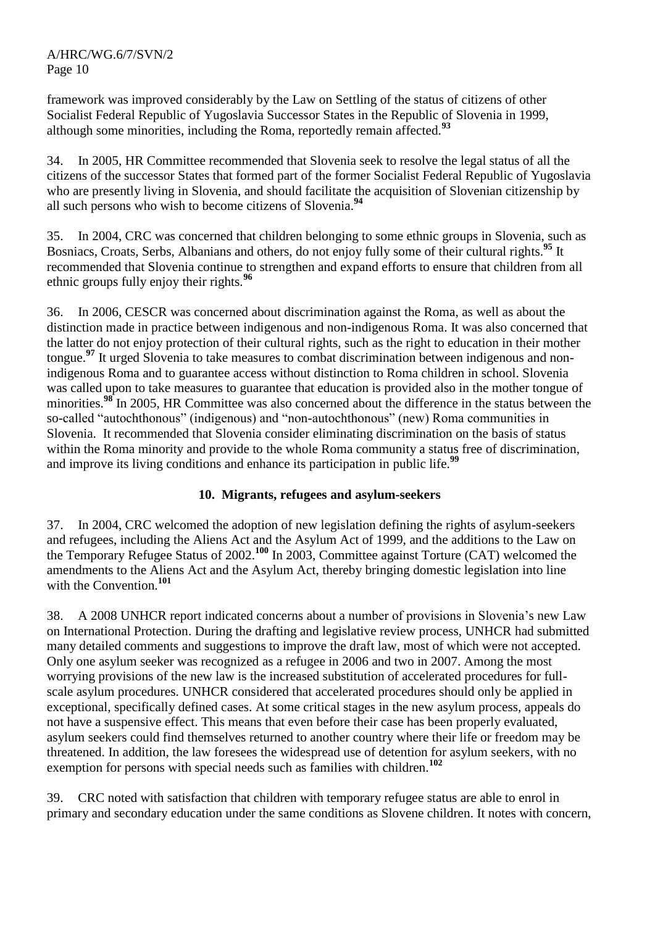framework was improved considerably by the Law on Settling of the status of citizens of other Socialist Federal Republic of Yugoslavia Successor States in the Republic of Slovenia in 1999, although some minorities, including the Roma, reportedly remain affected.**<sup>93</sup>**

34. In 2005, HR Committee recommended that Slovenia seek to resolve the legal status of all the citizens of the successor States that formed part of the former Socialist Federal Republic of Yugoslavia who are presently living in Slovenia, and should facilitate the acquisition of Slovenian citizenship by all such persons who wish to become citizens of Slovenia.**<sup>94</sup>**

35. In 2004, CRC was concerned that children belonging to some ethnic groups in Slovenia, such as Bosniacs, Croats, Serbs, Albanians and others, do not enjoy fully some of their cultural rights.**<sup>95</sup>** It recommended that Slovenia continue to strengthen and expand efforts to ensure that children from all ethnic groups fully enjoy their rights.**<sup>96</sup>**

36. In 2006, CESCR was concerned about discrimination against the Roma, as well as about the distinction made in practice between indigenous and non-indigenous Roma. It was also concerned that the latter do not enjoy protection of their cultural rights, such as the right to education in their mother tongue.**<sup>97</sup>** It urged Slovenia to take measures to combat discrimination between indigenous and nonindigenous Roma and to guarantee access without distinction to Roma children in school. Slovenia was called upon to take measures to guarantee that education is provided also in the mother tongue of minorities.<sup>98</sup> In 2005, HR Committee was also concerned about the difference in the status between the so-called "autochthonous" (indigenous) and "non-autochthonous" (new) Roma communities in Slovenia. It recommended that Slovenia consider eliminating discrimination on the basis of status within the Roma minority and provide to the whole Roma community a status free of discrimination, and improve its living conditions and enhance its participation in public life.**<sup>99</sup>**

# **10. Migrants, refugees and asylum-seekers**

37. In 2004, CRC welcomed the adoption of new legislation defining the rights of asylum-seekers and refugees, including the Aliens Act and the Asylum Act of 1999, and the additions to the Law on the Temporary Refugee Status of 2002.**<sup>100</sup>** In 2003, Committee against Torture (CAT) welcomed the amendments to the Aliens Act and the Asylum Act, thereby bringing domestic legislation into line with the Convention.**<sup>101</sup>**

38. A 2008 UNHCR report indicated concerns about a number of provisions in Slovenia's new Law on International Protection. During the drafting and legislative review process, UNHCR had submitted many detailed comments and suggestions to improve the draft law, most of which were not accepted. Only one asylum seeker was recognized as a refugee in 2006 and two in 2007. Among the most worrying provisions of the new law is the increased substitution of accelerated procedures for fullscale asylum procedures. UNHCR considered that accelerated procedures should only be applied in exceptional, specifically defined cases. At some critical stages in the new asylum process, appeals do not have a suspensive effect. This means that even before their case has been properly evaluated, asylum seekers could find themselves returned to another country where their life or freedom may be threatened. In addition, the law foresees the widespread use of detention for asylum seekers, with no exemption for persons with special needs such as families with children.**<sup>102</sup>**

39. CRC noted with satisfaction that children with temporary refugee status are able to enrol in primary and secondary education under the same conditions as Slovene children. It notes with concern,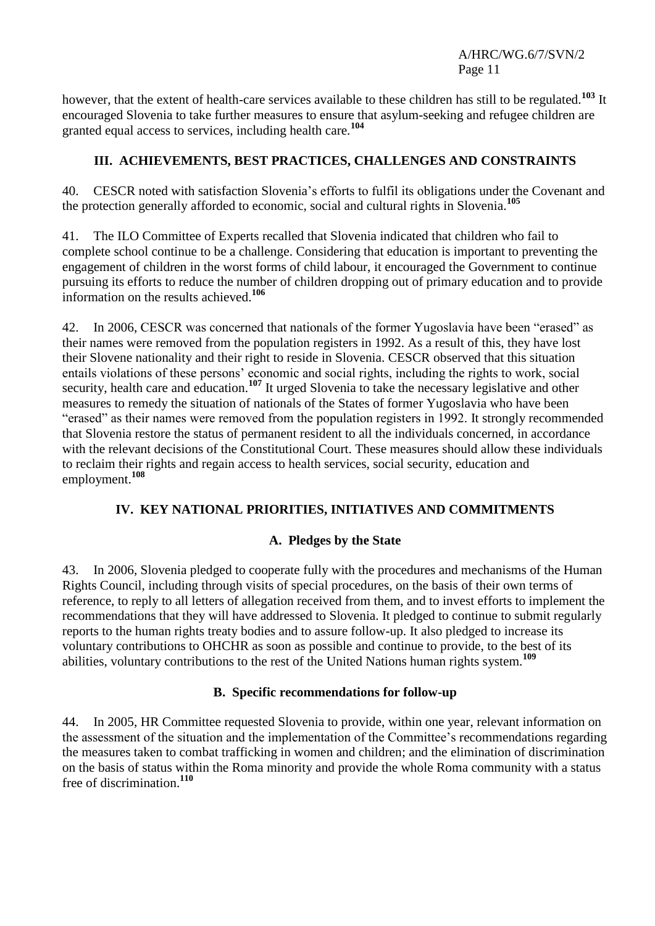however, that the extent of health-care services available to these children has still to be regulated.**<sup>103</sup>** It encouraged Slovenia to take further measures to ensure that asylum-seeking and refugee children are granted equal access to services, including health care.**<sup>104</sup>**

# **III. ACHIEVEMENTS, BEST PRACTICES, CHALLENGES AND CONSTRAINTS**

40. CESCR noted with satisfaction Slovenia's efforts to fulfil its obligations under the Covenant and the protection generally afforded to economic, social and cultural rights in Slovenia.**<sup>105</sup>**

41. The ILO Committee of Experts recalled that Slovenia indicated that children who fail to complete school continue to be a challenge. Considering that education is important to preventing the engagement of children in the worst forms of child labour, it encouraged the Government to continue pursuing its efforts to reduce the number of children dropping out of primary education and to provide information on the results achieved.**<sup>106</sup>**

42. In 2006, CESCR was concerned that nationals of the former Yugoslavia have been "erased" as their names were removed from the population registers in 1992. As a result of this, they have lost their Slovene nationality and their right to reside in Slovenia. CESCR observed that this situation entails violations of these persons' economic and social rights, including the rights to work, social security, health care and education.<sup>107</sup> It urged Slovenia to take the necessary legislative and other measures to remedy the situation of nationals of the States of former Yugoslavia who have been "erased" as their names were removed from the population registers in 1992. It strongly recommended that Slovenia restore the status of permanent resident to all the individuals concerned, in accordance with the relevant decisions of the Constitutional Court. These measures should allow these individuals to reclaim their rights and regain access to health services, social security, education and employment.**<sup>108</sup>**

# **IV. KEY NATIONAL PRIORITIES, INITIATIVES AND COMMITMENTS**

# **A. Pledges by the State**

43. In 2006, Slovenia pledged to cooperate fully with the procedures and mechanisms of the Human Rights Council, including through visits of special procedures, on the basis of their own terms of reference, to reply to all letters of allegation received from them, and to invest efforts to implement the recommendations that they will have addressed to Slovenia. It pledged to continue to submit regularly reports to the human rights treaty bodies and to assure follow-up. It also pledged to increase its voluntary contributions to OHCHR as soon as possible and continue to provide, to the best of its abilities, voluntary contributions to the rest of the United Nations human rights system.**<sup>109</sup>**

# **B. Specific recommendations for follow-up**

44. In 2005, HR Committee requested Slovenia to provide, within one year, relevant information on the assessment of the situation and the implementation of the Committee's recommendations regarding the measures taken to combat trafficking in women and children; and the elimination of discrimination on the basis of status within the Roma minority and provide the whole Roma community with a status free of discrimination. **110**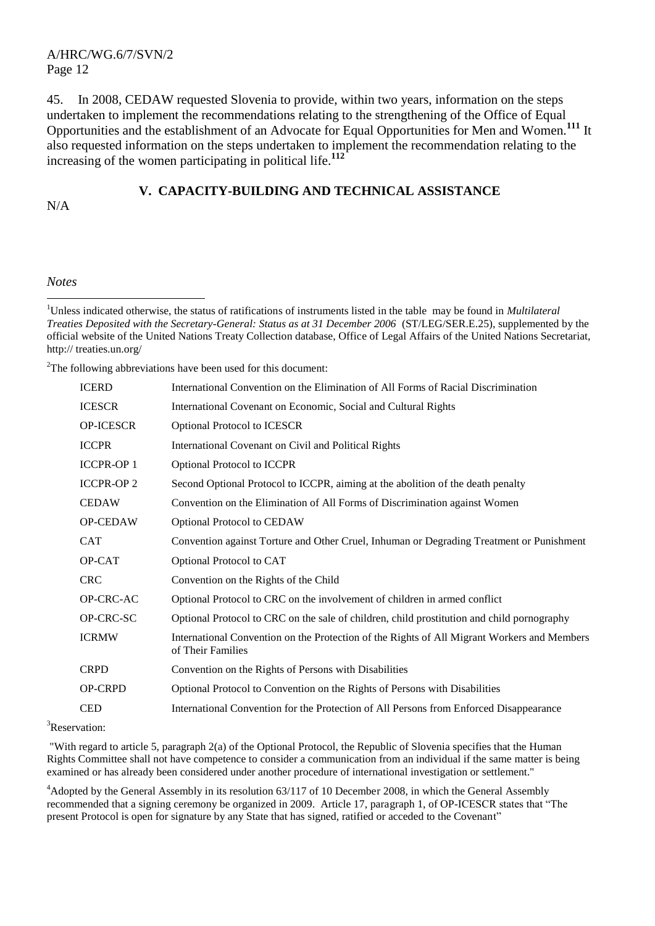45. In 2008, CEDAW requested Slovenia to provide, within two years, information on the steps undertaken to implement the recommendations relating to the strengthening of the Office of Equal Opportunities and the establishment of an Advocate for Equal Opportunities for Men and Women.**<sup>111</sup>** It also requested information on the steps undertaken to implement the recommendation relating to the increasing of the women participating in political life.**<sup>112</sup>**

# **V. CAPACITY-BUILDING AND TECHNICAL ASSISTANCE**

N/A

*Notes*

 $\overline{a}$ <sup>1</sup>Unless indicated otherwise, the status of ratifications of instruments listed in the table may be found in *Multilateral Treaties Deposited with the Secretary-General: Status as at 31 December 2006* (ST/LEG/SER.E.25), supplemented by the official website of the United Nations Treaty Collection database, Office of Legal Affairs of the United Nations Secretariat, http:// treaties.un.org/

 $2$ The following abbreviations have been used for this document:

| <b>ICERD</b>     | International Convention on the Elimination of All Forms of Racial Discrimination                                |
|------------------|------------------------------------------------------------------------------------------------------------------|
| <b>ICESCR</b>    | International Covenant on Economic, Social and Cultural Rights                                                   |
| <b>OP-ICESCR</b> | <b>Optional Protocol to ICESCR</b>                                                                               |
| <b>ICCPR</b>     | International Covenant on Civil and Political Rights                                                             |
| <b>ICCPR-OP1</b> | <b>Optional Protocol to ICCPR</b>                                                                                |
| <b>ICCPR-OP2</b> | Second Optional Protocol to ICCPR, aiming at the abolition of the death penalty                                  |
| <b>CEDAW</b>     | Convention on the Elimination of All Forms of Discrimination against Women                                       |
| OP-CEDAW         | <b>Optional Protocol to CEDAW</b>                                                                                |
| <b>CAT</b>       | Convention against Torture and Other Cruel, Inhuman or Degrading Treatment or Punishment                         |
| OP-CAT           | Optional Protocol to CAT                                                                                         |
| <b>CRC</b>       | Convention on the Rights of the Child                                                                            |
| OP-CRC-AC        | Optional Protocol to CRC on the involvement of children in armed conflict                                        |
| OP-CRC-SC        | Optional Protocol to CRC on the sale of children, child prostitution and child pornography                       |
| <b>ICRMW</b>     | International Convention on the Protection of the Rights of All Migrant Workers and Members<br>of Their Families |
| <b>CRPD</b>      | Convention on the Rights of Persons with Disabilities                                                            |
| <b>OP-CRPD</b>   | Optional Protocol to Convention on the Rights of Persons with Disabilities                                       |
| <b>CED</b>       | International Convention for the Protection of All Persons from Enforced Disappearance                           |
|                  |                                                                                                                  |

<sup>3</sup>Reservation:

"With regard to article 5, paragraph 2(a) of the Optional Protocol, the Republic of Slovenia specifies that the Human Rights Committee shall not have competence to consider a communication from an individual if the same matter is being examined or has already been considered under another procedure of international investigation or settlement."

<sup>4</sup>Adopted by the General Assembly in its resolution 63/117 of 10 December 2008, in which the General Assembly recommended that a signing ceremony be organized in 2009. Article 17, paragraph 1, of OP-ICESCR states that "The present Protocol is open for signature by any State that has signed, ratified or acceded to the Covenant"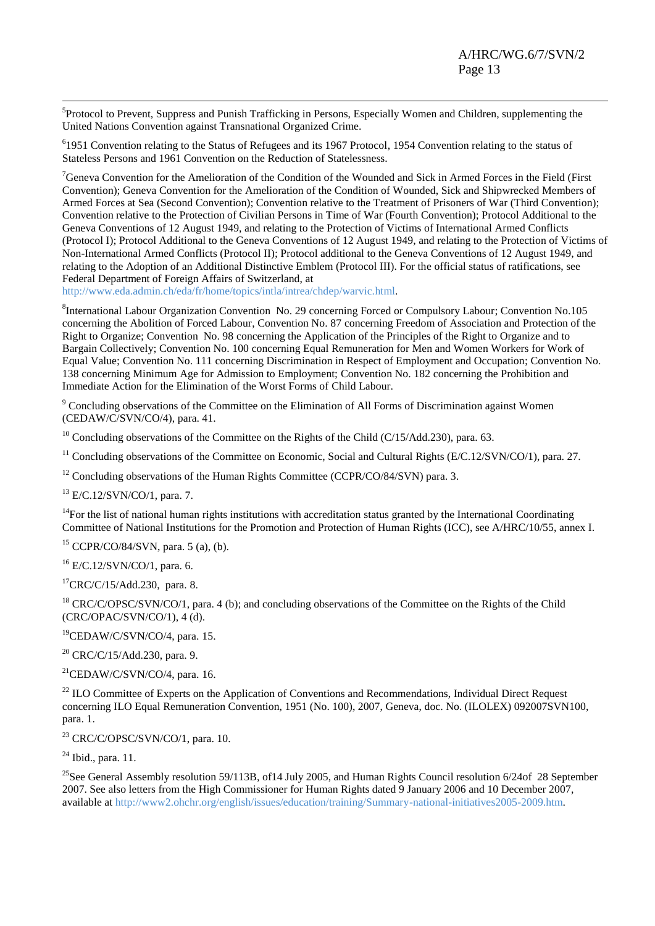-<br><sup>5</sup>Protocol to Prevent, Suppress and Punish Trafficking in Persons, Especially Women and Children, supplementing the United Nations Convention against Transnational Organized Crime.

<sup>6</sup>1951 Convention relating to the Status of Refugees and its 1967 Protocol, 1954 Convention relating to the status of Stateless Persons and 1961 Convention on the Reduction of Statelessness.

<sup>7</sup>Geneva Convention for the Amelioration of the Condition of the Wounded and Sick in Armed Forces in the Field (First Convention); Geneva Convention for the Amelioration of the Condition of Wounded, Sick and Shipwrecked Members of Armed Forces at Sea (Second Convention); Convention relative to the Treatment of Prisoners of War (Third Convention); Convention relative to the Protection of Civilian Persons in Time of War (Fourth Convention); Protocol Additional to the Geneva Conventions of 12 August 1949, and relating to the Protection of Victims of International Armed Conflicts (Protocol I); Protocol Additional to the Geneva Conventions of 12 August 1949, and relating to the Protection of Victims of Non-International Armed Conflicts (Protocol II); Protocol additional to the Geneva Conventions of 12 August 1949, and relating to the Adoption of an Additional Distinctive Emblem (Protocol III). For the official status of ratifications, see Federal Department of Foreign Affairs of Switzerland, at

[http://www.eda.admin.ch/eda/fr/home/topics/intla/intrea/chdep/warvic.html.](http://www.eda.admin.ch/eda/fr/home/topics/intla/intrea/chdep/warvic.html)

8 International Labour Organization Convention No. 29 concerning Forced or Compulsory Labour; Convention No.105 concerning the Abolition of Forced Labour, Convention No. 87 concerning Freedom of Association and Protection of the Right to Organize; Convention No. 98 concerning the Application of the Principles of the Right to Organize and to Bargain Collectively; Convention No. 100 concerning Equal Remuneration for Men and Women Workers for Work of Equal Value; Convention No. 111 concerning Discrimination in Respect of Employment and Occupation; Convention No. 138 concerning Minimum Age for Admission to Employment; Convention No. 182 concerning the Prohibition and Immediate Action for the Elimination of the Worst Forms of Child Labour.

<sup>9</sup> Concluding observations of the Committee on the Elimination of All Forms of Discrimination against Women (CEDAW/C/SVN/CO/4), para. 41.

<sup>10</sup> Concluding observations of the Committee on the Rights of the Child (C/15/Add.230), para. 63.

<sup>11</sup> Concluding observations of the Committee on Economic, Social and Cultural Rights ( $E/C.12/SVN/CO/1$ ), para. 27.

 $12$  Concluding observations of the Human Rights Committee (CCPR/CO/84/SVN) para. 3.

<sup>13</sup> E/C.12/SVN/CO/1, para. 7.

 $14$ For the list of national human rights institutions with accreditation status granted by the International Coordinating Committee of National Institutions for the Promotion and Protection of Human Rights (ICC), see A/HRC/10/55, annex I.

<sup>15</sup> CCPR/CO/84/SVN, para. 5 (a), (b).

<sup>16</sup> E/C.12/SVN/CO/1, para. 6.

 ${}^{17}$ CRC/C/15/Add.230, para. 8.

<sup>18</sup> CRC/C/OPSC/SVN/CO/1, para. 4 (b); and concluding observations of the Committee on the Rights of the Child (CRC/OPAC/SVN/CO/1), 4 (d).

<sup>19</sup>CEDAW/C/SVN/CO/4, para. 15.

<sup>20</sup> CRC/C/15/Add.230, para. 9.

 $^{21}$ CEDAW/C/SVN/CO/4, para. 16.

<sup>22</sup> ILO Committee of Experts on the Application of Conventions and Recommendations, Individual Direct Request concerning ILO Equal Remuneration Convention, 1951 (No. 100), 2007, Geneva, doc. No. (ILOLEX) 092007SVN100, para. 1.

<sup>23</sup> CRC/C/OPSC/SVN/CO/1, para. 10.

 $24$  Ibid., para. 11.

<sup>25</sup>See General Assembly resolution 59/113B, of 14 July 2005, and Human Rights Council resolution  $6/24$ of 28 September 2007. See also letters from the High Commissioner for Human Rights dated 9 January 2006 and 10 December 2007, available at [http://www2.ohchr.org/english/issues/education/training/Summary-national-initiatives2005-2009.htm.](http://www2.ohchr.org/english/issues/education/training/Summary-national-initiatives2005-2009.htm)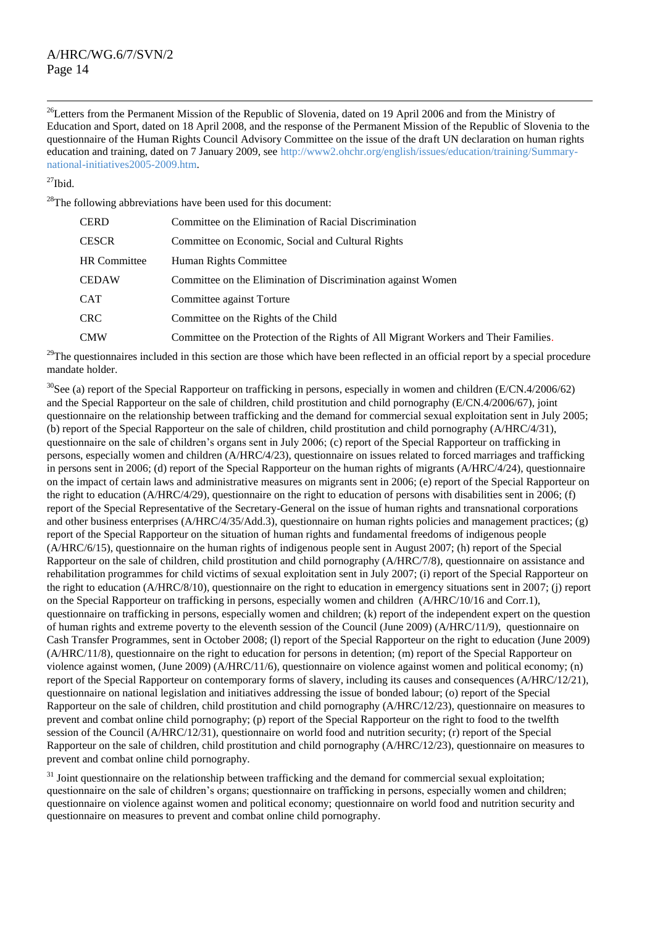$\overline{a}$ <sup>26</sup>Letters from the Permanent Mission of the Republic of Slovenia, dated on 19 April 2006 and from the Ministry of Education and Sport, dated on 18 April 2008, and the response of the Permanent Mission of the Republic of Slovenia to the questionnaire of the Human Rights Council Advisory Committee on the issue of the draft UN declaration on human rights education and training, dated on 7 January 2009, see [http://www2.ohchr.org/english/issues/education/training/Summary](http://www2.ohchr.org/english/issues/education/training/Summary-national-initiatives2005-2009.htm)[national-initiatives2005-2009.htm.](http://www2.ohchr.org/english/issues/education/training/Summary-national-initiatives2005-2009.htm)

 $^{27}$ Ibid.

 $^{28}$ The following abbreviations have been used for this document:

| CERD         | Committee on the Elimination of Racial Discrimination                                |
|--------------|--------------------------------------------------------------------------------------|
| CESCR        | Committee on Economic, Social and Cultural Rights                                    |
| HR Committee | Human Rights Committee                                                               |
| CEDAW        | Committee on the Elimination of Discrimination against Women                         |
| CAT          | Committee against Torture                                                            |
| CRC-         | Committee on the Rights of the Child                                                 |
| CMW          | Committee on the Protection of the Rights of All Migrant Workers and Their Families. |

 $^{29}$ The questionnaires included in this section are those which have been reflected in an official report by a special procedure mandate holder.

 $30$ See (a) report of the Special Rapporteur on trafficking in persons, especially in women and children (E/CN.4/2006/62) and the Special Rapporteur on the sale of children, child prostitution and child pornography (E/CN.4/2006/67), joint questionnaire on the relationship between trafficking and the demand for commercial sexual exploitation sent in July 2005; (b) report of the Special Rapporteur on the sale of children, child prostitution and child pornography (A/HRC/4/31), questionnaire on the sale of children's organs sent in July 2006; (c) report of the Special Rapporteur on trafficking in persons, especially women and children (A/HRC/4/23), questionnaire on issues related to forced marriages and trafficking in persons sent in 2006; (d) report of the Special Rapporteur on the human rights of migrants (A/HRC/4/24), questionnaire on the impact of certain laws and administrative measures on migrants sent in 2006; (e) report of the Special Rapporteur on the right to education (A/HRC/4/29), questionnaire on the right to education of persons with disabilities sent in 2006; (f) report of the Special Representative of the Secretary-General on the issue of human rights and transnational corporations and other business enterprises (A/HRC/4/35/Add.3), questionnaire on human rights policies and management practices; (g) report of the Special Rapporteur on the situation of human rights and fundamental freedoms of indigenous people (A/HRC/6/15), questionnaire on the human rights of indigenous people sent in August 2007; (h) report of the Special Rapporteur on the sale of children, child prostitution and child pornography (A/HRC/7/8), questionnaire on assistance and rehabilitation programmes for child victims of sexual exploitation sent in July 2007; (i) report of the Special Rapporteur on the right to education (A/HRC/8/10), questionnaire on the right to education in emergency situations sent in 2007; (j) report on the Special Rapporteur on trafficking in persons, especially women and children (A/HRC/10/16 and Corr.1), questionnaire on trafficking in persons, especially women and children; (k) report of the independent expert on the question of human rights and extreme poverty to the eleventh session of the Council (June 2009) (A/HRC/11/9), questionnaire on Cash Transfer Programmes, sent in October 2008; (l) report of the Special Rapporteur on the right to education (June 2009) (A/HRC/11/8), questionnaire on the right to education for persons in detention; (m) report of the Special Rapporteur on violence against women, (June 2009) (A/HRC/11/6), questionnaire on violence against women and political economy; (n) report of the Special Rapporteur on contemporary forms of slavery, including its causes and consequences (A/HRC/12/21), questionnaire on national legislation and initiatives addressing the issue of bonded labour; (o) report of the Special Rapporteur on the sale of children, child prostitution and child pornography (A/HRC/12/23), questionnaire on measures to prevent and combat online child pornography; (p) report of the Special Rapporteur on the right to food to the twelfth session of the Council (A/HRC/12/31), questionnaire on world food and nutrition security; (r) report of the Special Rapporteur on the sale of children, child prostitution and child pornography (A/HRC/12/23), questionnaire on measures to prevent and combat online child pornography.

 $31$  Joint questionnaire on the relationship between trafficking and the demand for commercial sexual exploitation; questionnaire on the sale of children's organs; questionnaire on trafficking in persons, especially women and children; questionnaire on violence against women and political economy; questionnaire on world food and nutrition security and questionnaire on measures to prevent and combat online child pornography.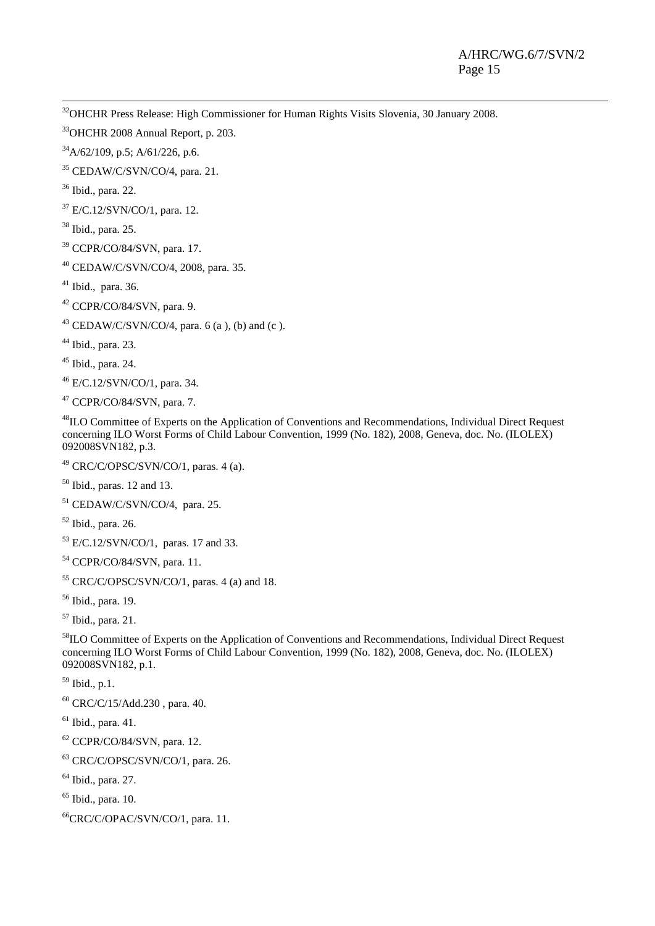-<sup>32</sup>OHCHR Press Release: High Commissioner for Human Rights Visits Slovenia, 30 January 2008.

OHCHR 2008 Annual Report, p. 203.

 $34\frac{\text{A}}{\text{A}}\frac{2}{109}$ , p.5; A/61/226, p.6.

CEDAW/C/SVN/CO/4, para. 21.

Ibid., para. 22.

E/C.12/SVN/CO/1, para. 12.

Ibid., para. 25.

CCPR/CO/84/SVN, para. 17.

CEDAW/C/SVN/CO/4, 2008, para. 35.

Ibid., para. 36.

CCPR/CO/84/SVN, para. 9.

<sup>43</sup> CEDAW/C/SVN/CO/4, para. 6 (a ), (b) and (c ).

Ibid., para. 23.

Ibid., para. 24.

E/C.12/SVN/CO/1, para. 34.

CCPR/CO/84/SVN, para. 7.

ILO Committee of Experts on the Application of Conventions and Recommendations, Individual Direct Request concerning ILO Worst Forms of Child Labour Convention, 1999 (No. 182), 2008, Geneva, doc. No. (ILOLEX) 092008SVN182, p.3.

CRC/C/OPSC/SVN/CO/1, paras. 4 (a).

Ibid., paras. 12 and 13.

CEDAW/C/SVN/CO/4, para. 25.

Ibid., para. 26.

 $^{53}$  E/C.12/SVN/CO/1, paras. 17 and 33.

CCPR/CO/84/SVN, para. 11.

CRC/C/OPSC/SVN/CO/1, paras. 4 (a) and 18.

Ibid., para. 19.

Ibid., para. 21.

ILO Committee of Experts on the Application of Conventions and Recommendations, Individual Direct Request concerning ILO Worst Forms of Child Labour Convention, 1999 (No. 182), 2008, Geneva, doc. No. (ILOLEX) 092008SVN182, p.1.

Ibid., p.1.

CRC/C/15/Add.230, para. 40.

 $<sup>61</sup>$  Ibid., para. 41.</sup>

CCPR/CO/84/SVN, para. 12.

CRC/C/OPSC/SVN/CO/1, para. 26.

Ibid., para. 27.

 $<sup>65</sup>$  Ibid., para. 10.</sup>

<sup>66</sup>CRC/C/OPAC/SVN/CO/1, para. 11.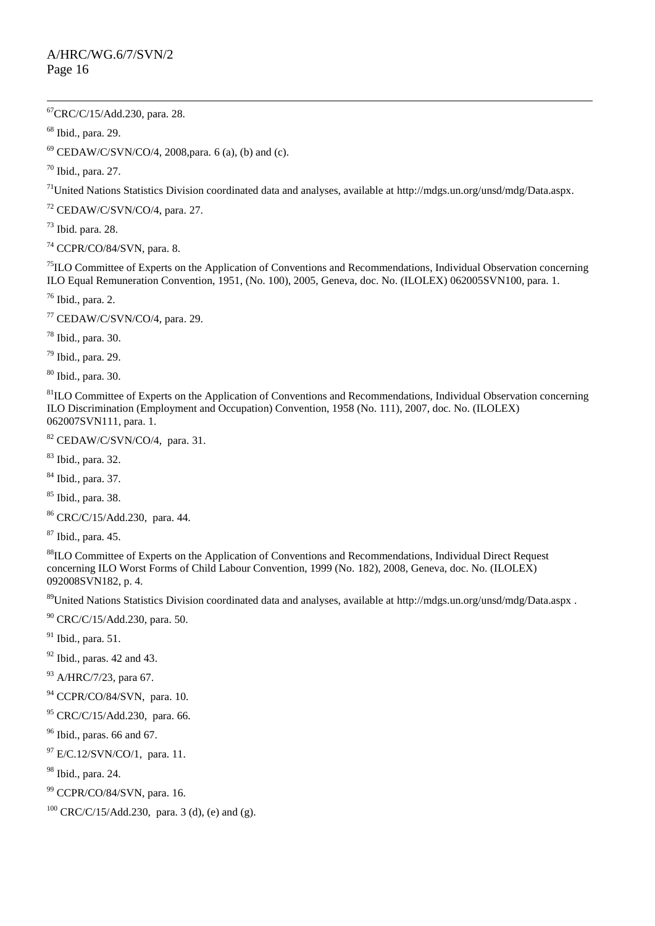$\overline{a}$  ${}^{67}$ CRC/C/15/Add.230, para. 28.

<sup>68</sup> Ibid., para. 29.

 $69$  CEDAW/C/SVN/CO/4, 2008, para. 6 (a), (b) and (c).

<sup>70</sup> Ibid., para. 27.

<sup>71</sup>United Nations Statistics Division coordinated data and analyses, available at [http://mdgs.un.org/unsd/mdg/Data.aspx.](http://mdgs.un.org/unsd/mdg/Data.aspx)

<sup>72</sup> CEDAW/C/SVN/CO/4, para. 27.

<sup>73</sup> Ibid. para. 28.

 $74$  CCPR/CO/84/SVN, para. 8.

 $<sup>75</sup>ILO Committee of Experts on the Application of Conventions and Recommendations, Individual Observation concerning$ </sup> ILO Equal Remuneration Convention, 1951, (No. 100), 2005, Geneva, doc. No. (ILOLEX) 062005SVN100, para. 1.

 $76$  Ibid., para. 2.

<sup>77</sup> CEDAW/C/SVN/CO/4, para. 29.

<sup>78</sup> Ibid., para. 30.

 $79$  Ibid., para. 29.

<sup>80</sup> Ibid., para. 30.

 ${}^{81}$ ILO Committee of Experts on the Application of Conventions and Recommendations, Individual Observation concerning ILO Discrimination (Employment and Occupation) Convention, 1958 (No. 111), 2007, doc. No. (ILOLEX) 062007SVN111, para. 1.

<sup>82</sup> CEDAW/C/SVN/CO/4, para. 31.

<sup>83</sup> Ibid., para. 32.

<sup>84</sup> Ibid., para. 37.

<sup>85</sup> Ibid., para. 38.

<sup>86</sup> CRC/C/15/Add.230, para. 44.

<sup>87</sup> Ibid., para. 45.

88ILO Committee of Experts on the Application of Conventions and Recommendations, Individual Direct Request concerning ILO Worst Forms of Child Labour Convention, 1999 (No. 182), 2008, Geneva, doc. No. (ILOLEX) 092008SVN182, p. 4.

<sup>89</sup>United Nations Statistics Division coordinated data and analyses, available at<http://mdgs.un.org/unsd/mdg/Data.aspx>.

<sup>90</sup> CRC/C/15/Add.230, para. 50.

 $91$  Ibid., para. 51.

 $92$  Ibid., paras. 42 and 43.

93 A/HRC/7/23, para 67.

<sup>94</sup> CCPR/CO/84/SVN, para. 10.

<sup>95</sup> CRC/C/15/Add.230, para. 66.

 $96$  Ibid., paras. 66 and 67.

 $^{97}$  E/C.12/SVN/CO/1, para. 11.

<sup>98</sup> Ibid., para. 24.

<sup>99</sup> CCPR/CO/84/SVN, para. 16.

<sup>100</sup> CRC/C/15/Add.230, para. 3 (d), (e) and (g).